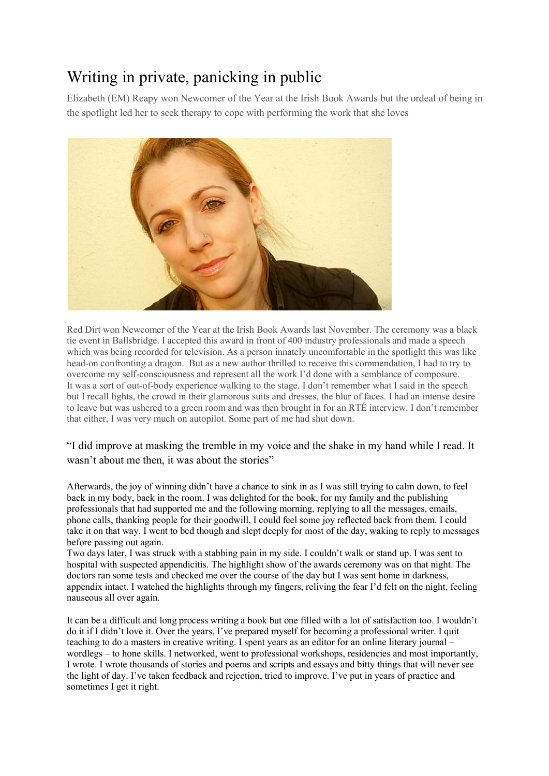## Writing in private, panicking in public

Elizabeth (EM) Reapy won Newcomer of the Year at the Irish Book Awards but the ordeal of being in the spotlight led her to seek therapy to cope with performing the work that she loves



Red Dirt won Newcomer of the Year at the Irish Book Awards last November. The ceremony was a black tie event in Ballsbridge. I accepted this award in front of 400 industry professionals and made a speech which was being recorded for television. As a person innately uncomfortable in the spotlight this was like head-on confronting a dragon. But as a new author thrilled to receive this commendation, I had to try to overcome my self-consciousness and represent all the work I'd done with a semblance of composure. It was a sort of out-of-body experience walking to the stage. I don't remember what I said in the speech but I recall lights, the crowd in their glamorous suits and dresses, the blur of faces. I had an intense desire to leave but was ushered to a green room and was then brought in for an RTÉ interview. I don't remember that either, I was very much on autopilot. Some part of me had shut down.

"I did improve at masking the tremble in my voice and the shake in my hand while I read. It wasn't about me then, it was about the stories"

Afterwards, the joy of winning didn't have a chance to sink in as I was still trying to calm down, to feel back in my body, back in the room. I was delighted for the book, for my family and the publishing professionals that had supported me and the following morning, replying to all the messages, emails, phone calls, thanking people for their goodwill, I could feel some joy reflected back from them. I could take it on that way. I went to bed though and slept deeply for most of the day, waking to reply to messages before passing out again.

Two days later, I was struck with a stabbing pain in my side. I couldn't walk or stand up. I was sent to hospital with suspected appendicitis. The highlight show of the awards ceremony was on that night. The doctors ran some tests and checked me over the course of the day but I was sent home in darkness, appendix intact. I watched the highlights through my fingers, reliving the fear I'd felt on the night, feeling nauseous all over again.

It can be a difficult and long process writing a book but one filled with a lot of satisfaction too. I wouldn't do it if I didn't love it. Over the years, I've prepared myself for becoming a professional writer. I quit teaching to do a masters in creative writing. I spent years as an editor for an online literary journal – wordlegs – to hone skills. I networked, went to professional workshops, residencies and most importantly, I wrote. I wrote thousands of stories and poems and scripts and essays and bitty things that will never see the light of day. I've taken feedback and rejection, tried to improve. I've put in years of practice and sometimes I get it right.